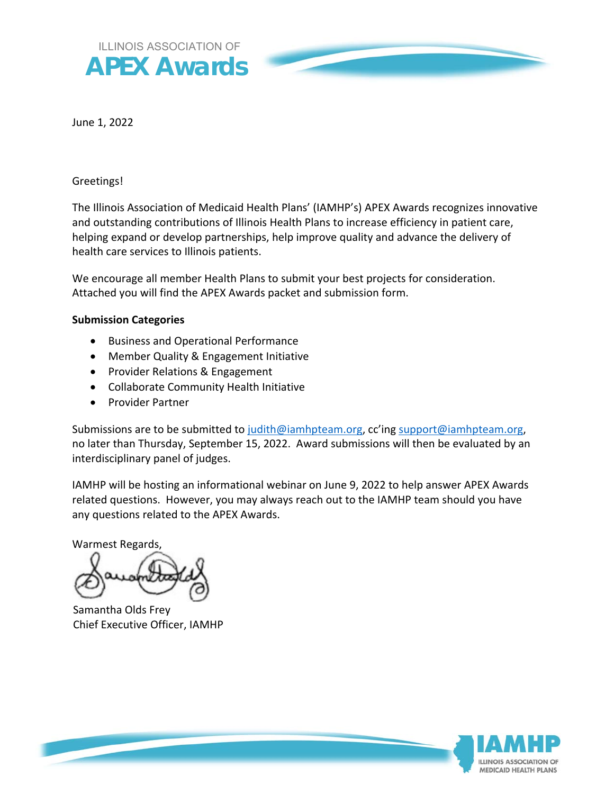

June 1, 2022

#### Greetings!

The Illinois Association of Medicaid Health Plans' (IAMHP's) APEX Awards recognizes innovative and outstanding contributions of Illinois Health Plans to increase efficiency in patient care, helping expand or develop partnerships, help improve quality and advance the delivery of health care services to Illinois patients.

We encourage all member Health Plans to submit your best projects for consideration. Attached you will find the APEX Awards packet and submission form.

#### **Submission Categories**

- Business and Operational Performance
- Member Quality & Engagement Initiative
- Provider Relations & Engagement
- Collaborate Community Health Initiative
- **•** Provider Partner

Submissions are to be submitted to judith@iamhpteam.org, cc'ing support@iamhpteam.org, no later than Thursday, September 15, 2022. Award submissions will then be evaluated by an interdisciplinary panel of judges.

IAMHP will be hosting an informational webinar on June 9, 2022 to help answer APEX Awards related questions. However, you may always reach out to the IAMHP team should you have any questions related to the APEX Awards.

Warmest Regards,

Samantha Olds Frey Chief Executive Officer, IAMHP

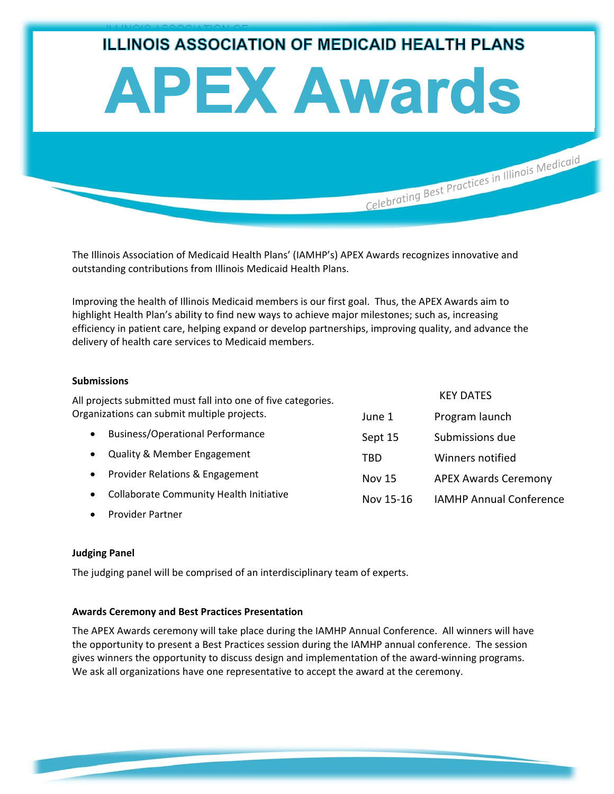# ILLINOIS ASSOCIATION OF **ILLINOIS ASSOCIATION OF MEDICAID HEALTH PLANS APEX Awards** Celebrating Best Practices in Illinois Medicaid

The Illinois Association of Medicaid Health Plans' (IAMHP's) APEX Awards recognizes innovative and outstanding contributions from Illinois Medicaid Health Plans.

Improving the health of Illinois Medicaid members is our first goal. Thus, the APEX Awards aim to highlight Health Plan's ability to find new ways to achieve major milestones; such as, increasing efficiency in patient care, helping expand or develop partnerships, improving quality, and advance the delivery of health care services to Medicaid members.

#### **Submissions**

| All projects submitted must fall into one of five categories. | <b>KEY DATES</b> |                                |
|---------------------------------------------------------------|------------------|--------------------------------|
| Organizations can submit multiple projects.                   | June 1           | Program launch                 |
| <b>Business/Operational Performance</b><br>$\bullet$          | Sept 15          | Submissions due                |
| <b>Quality &amp; Member Engagement</b><br>$\bullet$           | TBD              | Winners notified               |
| Provider Relations & Engagement<br>$\bullet$                  | <b>Nov 15</b>    | <b>APEX Awards Ceremony</b>    |
| Collaborate Community Health Initiative<br>$\bullet$          | Nov 15-16        | <b>IAMHP Annual Conference</b> |
|                                                               |                  |                                |

Provider Partner

#### **Judging Panel**

The judging panel will be comprised of an interdisciplinary team of experts.

#### **Awards Ceremony and Best Practices Presentation**

The APEX Awards ceremony will take place during the IAMHP Annual Conference. All winners will have the opportunity to present a Best Practices session during the IAMHP annual conference. The session gives winners the opportunity to discuss design and implementation of the award‐winning programs. We ask all organizations have one representative to accept the award at the ceremony.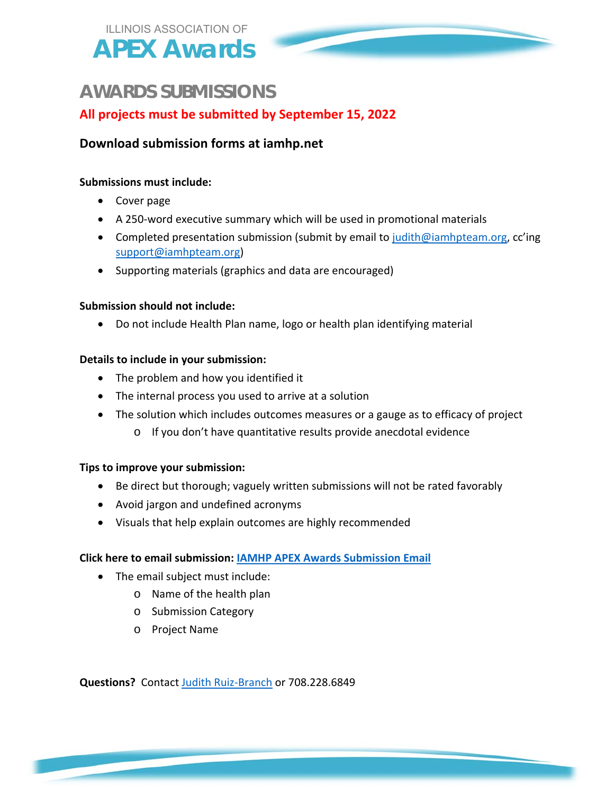## **AWARDS SUBMISSIONS**

## **All projects must be submitted by September 15, 2022**

### **Download submission forms at iamhp.net**

#### **Submissions must include:**

- Cover page
- A 250‐word executive summary which will be used in promotional materials
- Completed presentation submission (submit by email to judith@iamhpteam.org, cc'ing support@iamhpteam.org)
- Supporting materials (graphics and data are encouraged)

#### **Submission should not include:**

Do not include Health Plan name, logo or health plan identifying material

#### **Details to include in your submission:**

- The problem and how you identified it
- The internal process you used to arrive at a solution
- The solution which includes outcomes measures or a gauge as to efficacy of project
	- o If you don't have quantitative results provide anecdotal evidence

#### **Tips to improve your submission:**

- Be direct but thorough; vaguely written submissions will not be rated favorably
- Avoid jargon and undefined acronyms
- Visuals that help explain outcomes are highly recommended

#### **Click here to email submission: IAMHP APEX Awards Submission Email**

- The email subject must include:
	- o Name of the health plan
	- o Submission Category
	- o Project Name

**Questions?** Contact Judith Ruiz‐Branch or 708.228.6849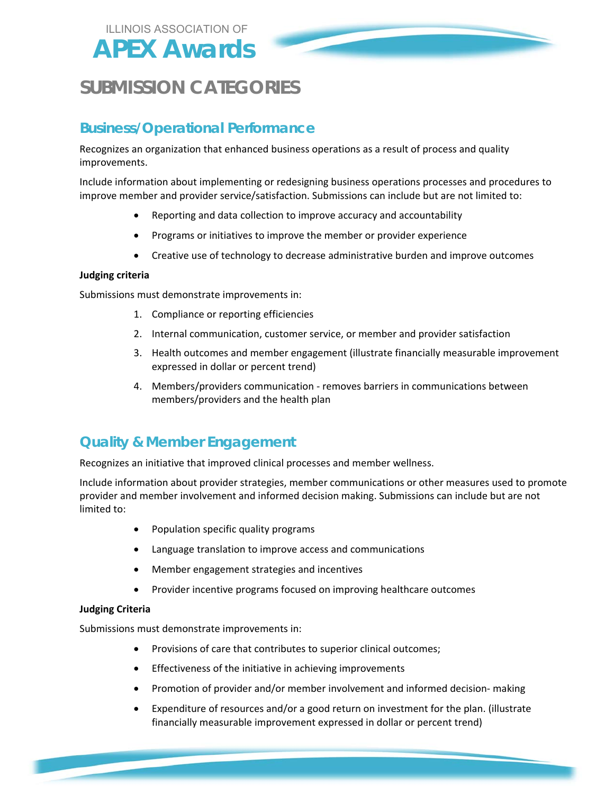

# **SUBMISSION CATEGORIES**

## **Business/Operational Performance**

Recognizes an organization that enhanced business operations as a result of process and quality improvements.

Include information about implementing or redesigning business operations processes and procedures to improve member and provider service/satisfaction. Submissions can include but are not limited to:

- Reporting and data collection to improve accuracy and accountability
- Programs or initiatives to improve the member or provider experience
- Creative use of technology to decrease administrative burden and improve outcomes

#### **Judging criteria**

Submissions must demonstrate improvements in:

- 1. Compliance or reporting efficiencies
- 2. Internal communication, customer service, or member and provider satisfaction
- 3. Health outcomes and member engagement (illustrate financially measurable improvement expressed in dollar or percent trend)
- 4. Members/providers communication ‐ removes barriers in communications between members/providers and the health plan

## **Quality & Member Engagement**

Recognizes an initiative that improved clinical processes and member wellness.

Include information about provider strategies, member communications or other measures used to promote provider and member involvement and informed decision making. Submissions can include but are not limited to:

- Population specific quality programs
- Language translation to improve access and communications
- Member engagement strategies and incentives
- Provider incentive programs focused on improving healthcare outcomes

#### **Judging Criteria**

Submissions must demonstrate improvements in:

- Provisions of care that contributes to superior clinical outcomes;
- Effectiveness of the initiative in achieving improvements
- Promotion of provider and/or member involvement and informed decision- making
- Expenditure of resources and/or a good return on investment for the plan. (illustrate financially measurable improvement expressed in dollar or percent trend)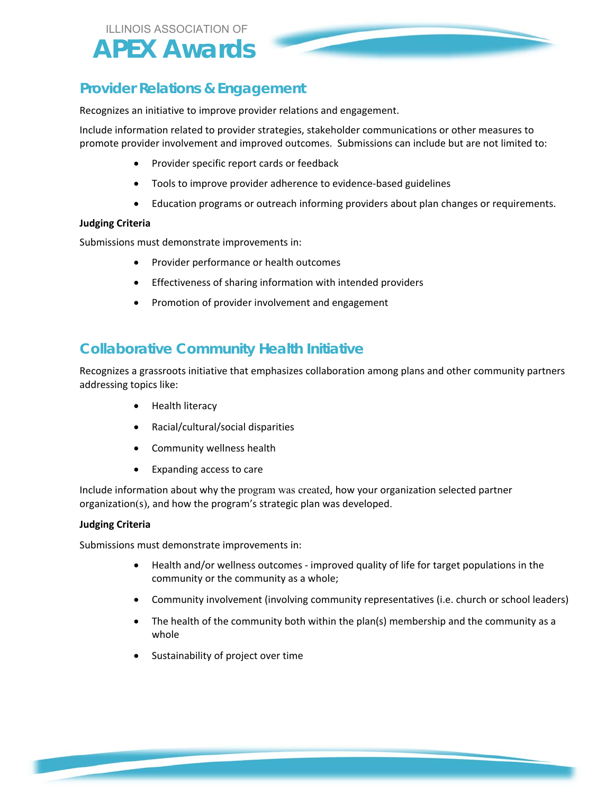## **Provider Relations & Engagement**

Recognizes an initiative to improve provider relations and engagement.

Include information related to provider strategies, stakeholder communications or other measures to promote provider involvement and improved outcomes. Submissions can include but are not limited to:

- Provider specific report cards or feedback
- Tools to improve provider adherence to evidence‐based guidelines
- Education programs or outreach informing providers about plan changes or requirements.

#### **Judging Criteria**

Submissions must demonstrate improvements in:

- Provider performance or health outcomes
- **•** Effectiveness of sharing information with intended providers
- Promotion of provider involvement and engagement

## **Collaborative Community Health Initiative**

Recognizes a grassroots initiative that emphasizes collaboration among plans and other community partners addressing topics like:

- Health literacy
- Racial/cultural/social disparities
- Community wellness health
- Expanding access to care

Include information about why the program was created, how your organization selected partner organization(s), and how the program's strategic plan was developed.

#### **Judging Criteria**

Submissions must demonstrate improvements in:

- Health and/or wellness outcomes improved quality of life for target populations in the community or the community as a whole;
- Community involvement (involving community representatives (i.e. church or school leaders)
- The health of the community both within the plan(s) membership and the community as a whole
- Sustainability of project over time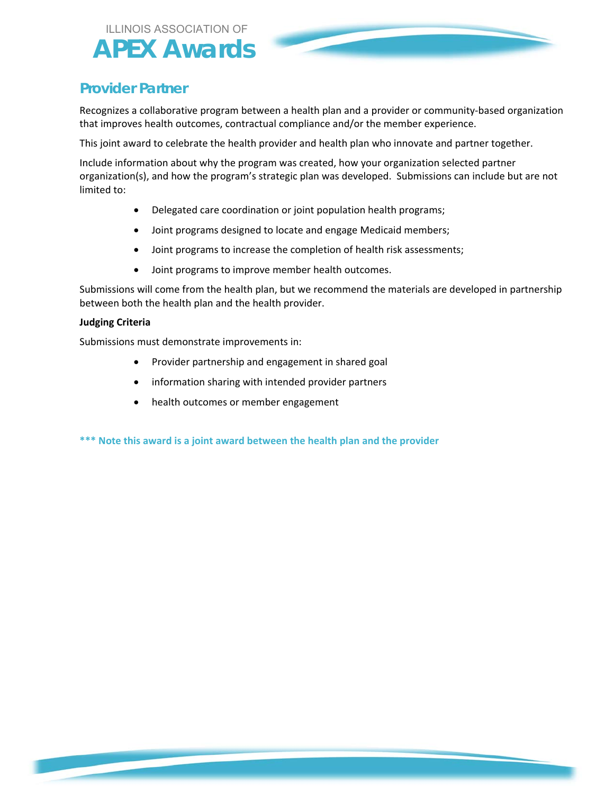## **Provider Partner**

Recognizes a collaborative program between a health plan and a provider or community‐based organization that improves health outcomes, contractual compliance and/or the member experience.

This joint award to celebrate the health provider and health plan who innovate and partner together.

Include information about why the program was created, how your organization selected partner organization(s), and how the program's strategic plan was developed. Submissions can include but are not limited to:

- Delegated care coordination or joint population health programs;
- Joint programs designed to locate and engage Medicaid members;
- Joint programs to increase the completion of health risk assessments;
- Joint programs to improve member health outcomes.

Submissions will come from the health plan, but we recommend the materials are developed in partnership between both the health plan and the health provider.

#### **Judging Criteria**

Submissions must demonstrate improvements in:

- Provider partnership and engagement in shared goal
- information sharing with intended provider partners
- health outcomes or member engagement

**\*\*\* Note this award is a joint award between the health plan and the provider**